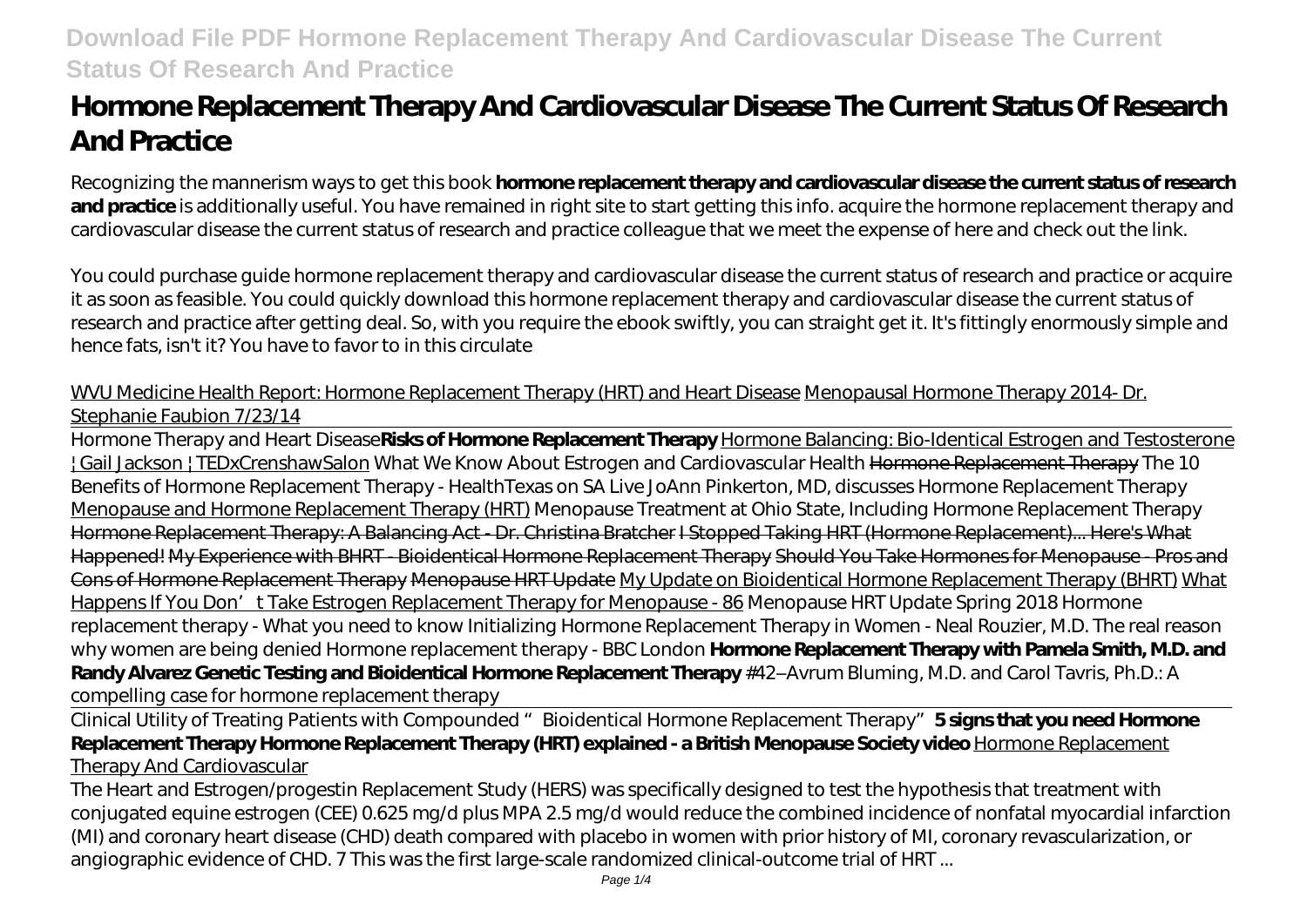# **Hormone Replacement Therapy And Cardiovascular Disease The Current Status Of Research And Practice**

Recognizing the mannerism ways to get this book **hormone replacement therapy and cardiovascular disease the current status of research** and practice is additionally useful. You have remained in right site to start getting this info. acquire the hormone replacement therapy and cardiovascular disease the current status of research and practice colleague that we meet the expense of here and check out the link.

You could purchase guide hormone replacement therapy and cardiovascular disease the current status of research and practice or acquire it as soon as feasible. You could quickly download this hormone replacement therapy and cardiovascular disease the current status of research and practice after getting deal. So, with you require the ebook swiftly, you can straight get it. It's fittingly enormously simple and hence fats, isn't it? You have to favor to in this circulate

# WVU Medicine Health Report: Hormone Replacement Therapy (HRT) and Heart Disease Menopausal Hormone Therapy 2014- Dr. Stephanie Faubion 7/23/14

Hormone Therapy and Heart Disease**Risks of Hormone Replacement Therapy** Hormone Balancing: Bio-Identical Estrogen and Testosterone | Gail Jackson | TEDxCrenshawSalon What We Know About Estrogen and Cardiovascular Health Hormone Replacement Therapy The 10 Benefits of Hormone Replacement Therapy - HealthTexas on SA Live JoAnn Pinkerton, MD, discusses Hormone Replacement Therapy Menopause and Hormone Replacement Therapy (HRT) *Menopause Treatment at Ohio State, Including Hormone Replacement Therapy* Hormone Replacement Therapy: A Balancing Act - Dr. Christina Bratcher I Stopped Taking HRT (Hormone Replacement)... Here's What Happened! My Experience with BHRT - Bioidentical Hormone Replacement Therapy Should You Take Hormones for Menopause - Pros and Cons of Hormone Replacement Therapy Menopause HRT Update My Update on Bioidentical Hormone Replacement Therapy (BHRT) What Happens If You Don't Take Estrogen Replacement Therapy for Menopause - 86 *Menopause HRT Update Spring 2018 Hormone replacement therapy - What you need to know Initializing Hormone Replacement Therapy in Women - Neal Rouzier, M.D. The real reason why women are being denied Hormone replacement therapy - BBC London* **Hormone Replacement Therapy with Pamela Smith, M.D. and Randy Alvarez Genetic Testing and Bioidentical Hormone Replacement Therapy** #42–Avrum Bluming, M.D. and Carol Tavris, Ph.D.: A compelling case for hormone replacement therapy

Clinical Utility of Treating Patients with Compounded "Bioidentical Hormone Replacement Therapy"**5 signs that you need Hormone Replacement Therapy Hormone Replacement Therapy (HRT) explained - a British Menopause Society video** Hormone Replacement Therapy And Cardiovascular

The Heart and Estrogen/progestin Replacement Study (HERS) was specifically designed to test the hypothesis that treatment with conjugated equine estrogen (CEE) 0.625 mg/d plus MPA 2.5 mg/d would reduce the combined incidence of nonfatal myocardial infarction (MI) and coronary heart disease (CHD) death compared with placebo in women with prior history of MI, coronary revascularization, or angiographic evidence of CHD. 7 This was the first large-scale randomized clinical-outcome trial of HRT ...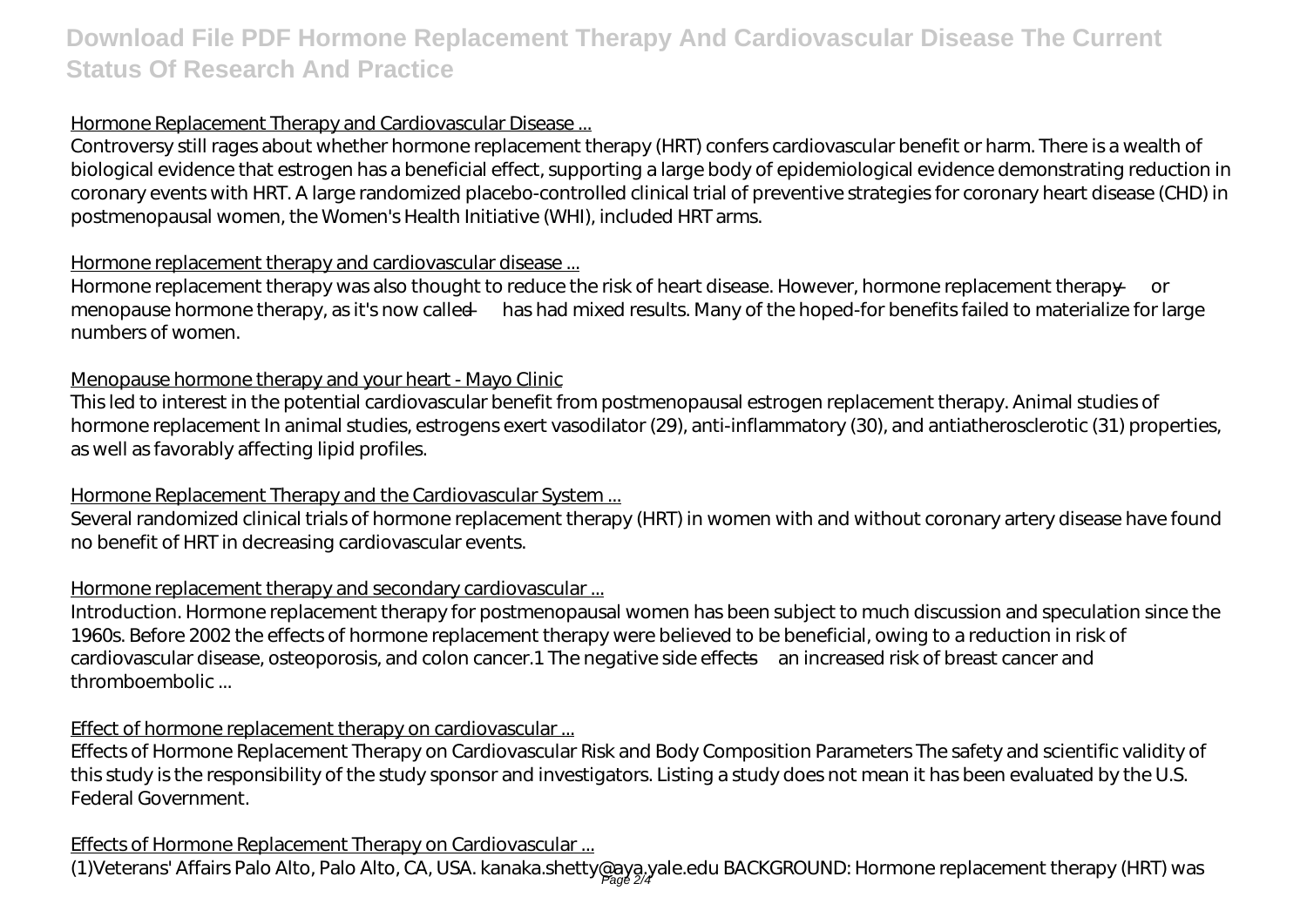# **Download File PDF Hormone Replacement Therapy And Cardiovascular Disease The Current Status Of Research And Practice**

#### Hormone Replacement Therapy and Cardiovascular Disease ...

Controversy still rages about whether hormone replacement therapy (HRT) confers cardiovascular benefit or harm. There is a wealth of biological evidence that estrogen has a beneficial effect, supporting a large body of epidemiological evidence demonstrating reduction in coronary events with HRT. A large randomized placebo-controlled clinical trial of preventive strategies for coronary heart disease (CHD) in postmenopausal women, the Women's Health Initiative (WHI), included HRT arms.

#### Hormone replacement therapy and cardiovascular disease ...

Hormone replacement therapy was also thought to reduce the risk of heart disease. However, hormone replacement therapy — or menopause hormone therapy, as it's now called — has had mixed results. Many of the hoped-for benefits failed to materialize for large numbers of women.

#### Menopause hormone therapy and your heart - Mayo Clinic

This led to interest in the potential cardiovascular benefit from postmenopausal estrogen replacement therapy. Animal studies of hormone replacement In animal studies, estrogens exert vasodilator (29), anti-inflammatory (30), and antiatherosclerotic (31) properties, as well as favorably affecting lipid profiles.

#### Hormone Replacement Therapy and the Cardiovascular System ...

Several randomized clinical trials of hormone replacement therapy (HRT) in women with and without coronary artery disease have found no benefit of HRT in decreasing cardiovascular events.

# Hormone replacement therapy and secondary cardiovascular ...

Introduction. Hormone replacement therapy for postmenopausal women has been subject to much discussion and speculation since the 1960s. Before 2002 the effects of hormone replacement therapy were believed to be beneficial, owing to a reduction in risk of cardiovascular disease, osteoporosis, and colon cancer.1 The negative side effects—an increased risk of breast cancer and thromboembolic ...

#### Effect of hormone replacement therapy on cardiovascular ...

Effects of Hormone Replacement Therapy on Cardiovascular Risk and Body Composition Parameters The safety and scientific validity of this study is the responsibility of the study sponsor and investigators. Listing a study does not mean it has been evaluated by the U.S. Federal Government.

# Effects of Hormone Replacement Therapy on Cardiovascular ...

(1)Veterans' Affairs Palo Alto, Palo Alto, CA, USA. kanaka.shetty@aya,yale.edu BACKGROUND: Hormone replacement therapy (HRT) was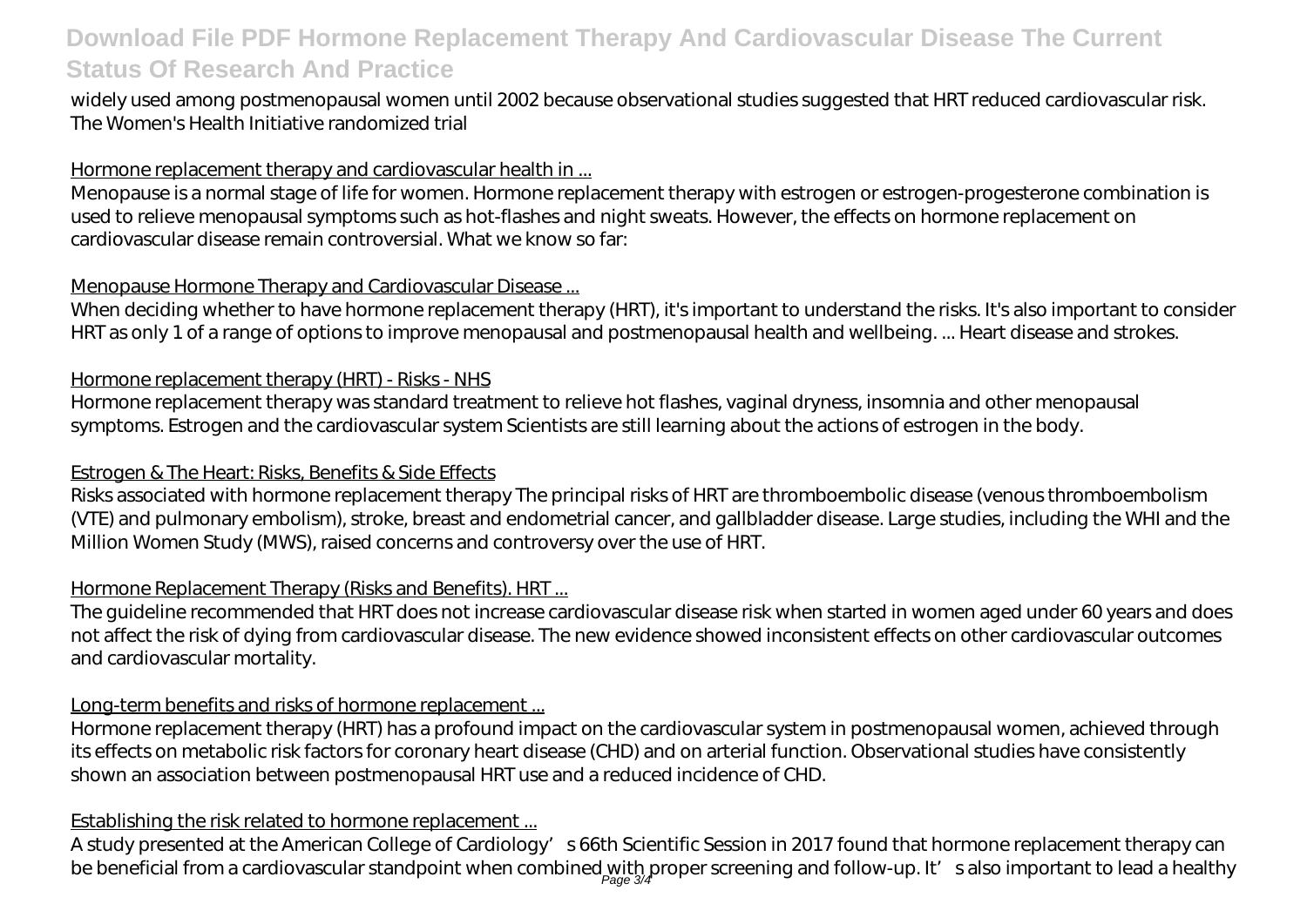# **Download File PDF Hormone Replacement Therapy And Cardiovascular Disease The Current Status Of Research And Practice**

widely used among postmenopausal women until 2002 because observational studies suggested that HRT reduced cardiovascular risk. The Women's Health Initiative randomized trial

### Hormone replacement therapy and cardiovascular health in ...

Menopause is a normal stage of life for women. Hormone replacement therapy with estrogen or estrogen-progesterone combination is used to relieve menopausal symptoms such as hot-flashes and night sweats. However, the effects on hormone replacement on cardiovascular disease remain controversial. What we know so far:

### Menopause Hormone Therapy and Cardiovascular Disease ...

When deciding whether to have hormone replacement therapy (HRT), it's important to understand the risks. It's also important to consider HRT as only 1 of a range of options to improve menopausal and postmenopausal health and wellbeing. ... Heart disease and strokes.

# Hormone replacement therapy (HRT) - Risks - NHS

Hormone replacement therapy was standard treatment to relieve hot flashes, vaginal dryness, insomnia and other menopausal symptoms. Estrogen and the cardiovascular system Scientists are still learning about the actions of estrogen in the body.

# Estrogen & The Heart: Risks, Benefits & Side Effects

Risks associated with hormone replacement therapy The principal risks of HRT are thromboembolic disease (venous thromboembolism (VTE) and pulmonary embolism), stroke, breast and endometrial cancer, and gallbladder disease. Large studies, including the WHI and the Million Women Study (MWS), raised concerns and controversy over the use of HRT.

# Hormone Replacement Therapy (Risks and Benefits). HRT...

The guideline recommended that HRT does not increase cardiovascular disease risk when started in women aged under 60 years and does not affect the risk of dying from cardiovascular disease. The new evidence showed inconsistent effects on other cardiovascular outcomes and cardiovascular mortality.

# Long-term benefits and risks of hormone replacement...

Hormone replacement therapy (HRT) has a profound impact on the cardiovascular system in postmenopausal women, achieved through its effects on metabolic risk factors for coronary heart disease (CHD) and on arterial function. Observational studies have consistently shown an association between postmenopausal HRT use and a reduced incidence of CHD.

# Establishing the risk related to hormone replacement ...

A study presented at the American College of Cardiology's 66th Scientific Session in 2017 found that hormone replacement therapy can be beneficial from a cardiovascular standpoint when combined with proper screening and follow-up. It′s also important to lead a healthy